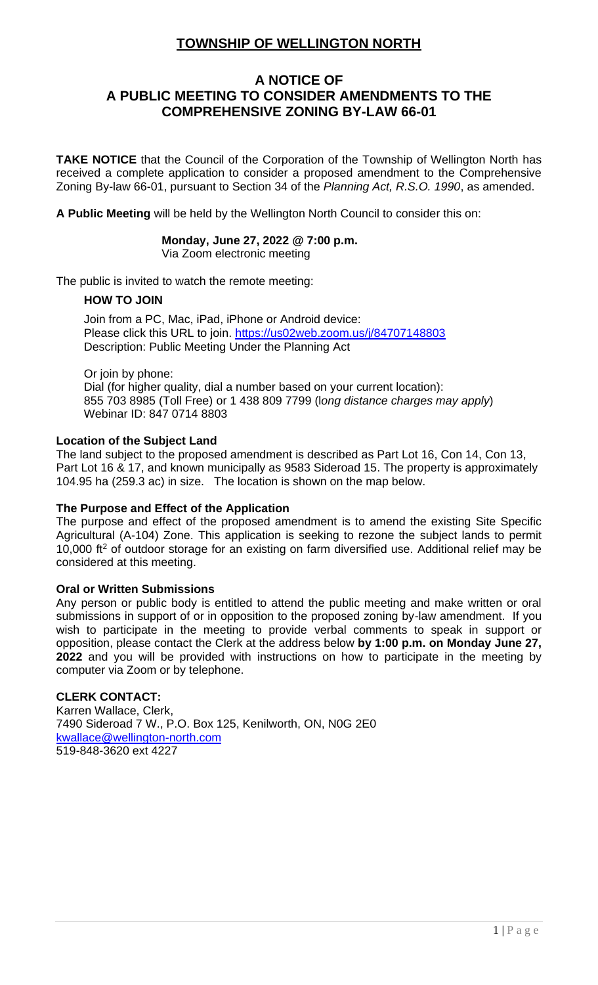# **TOWNSHIP OF WELLINGTON NORTH**

## **A NOTICE OF A PUBLIC MEETING TO CONSIDER AMENDMENTS TO THE COMPREHENSIVE ZONING BY-LAW 66-01**

**TAKE NOTICE** that the Council of the Corporation of the Township of Wellington North has received a complete application to consider a proposed amendment to the Comprehensive Zoning By-law 66-01, pursuant to Section 34 of the *Planning Act, R.S.O. 1990*, as amended.

**A Public Meeting** will be held by the Wellington North Council to consider this on:

#### **Monday, June 27, 2022 @ 7:00 p.m.** Via Zoom electronic meeting

The public is invited to watch the remote meeting:

## **HOW TO JOIN**

Join from a PC, Mac, iPad, iPhone or Android device: Please click this URL to join.<https://us02web.zoom.us/j/84707148803> Description: Public Meeting Under the Planning Act

Or join by phone: Dial (for higher quality, dial a number based on your current location): 855 703 8985 (Toll Free) or 1 438 809 7799 (l*ong distance charges may apply*) Webinar ID: 847 0714 8803

## **Location of the Subject Land**

The land subject to the proposed amendment is described as Part Lot 16, Con 14, Con 13, Part Lot 16 & 17, and known municipally as 9583 Sideroad 15. The property is approximately 104.95 ha (259.3 ac) in size. The location is shown on the map below.

## **The Purpose and Effect of the Application**

The purpose and effect of the proposed amendment is to amend the existing Site Specific Agricultural (A-104) Zone. This application is seeking to rezone the subject lands to permit 10,000  $ft<sup>2</sup>$  of outdoor storage for an existing on farm diversified use. Additional relief may be considered at this meeting.

## **Oral or Written Submissions**

Any person or public body is entitled to attend the public meeting and make written or oral submissions in support of or in opposition to the proposed zoning by-law amendment. If you wish to participate in the meeting to provide verbal comments to speak in support or opposition, please contact the Clerk at the address below **by 1:00 p.m. on Monday June 27, 2022** and you will be provided with instructions on how to participate in the meeting by computer via Zoom or by telephone.

## **CLERK CONTACT:**

Karren Wallace, Clerk, 7490 Sideroad 7 W., P.O. Box 125, Kenilworth, ON, N0G 2E0 [kwallace@wellington-north.com](mailto:kwallace@wellington-north.com) 519-848-3620 ext 4227